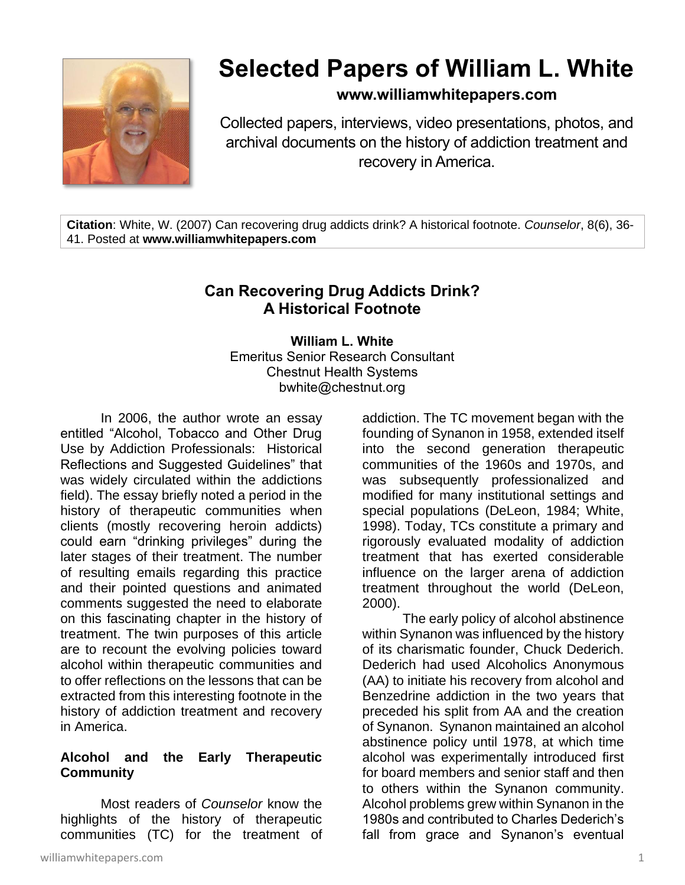

# **Selected Papers of William L. White**

## **www.williamwhitepapers.com**

Collected papers, interviews, video presentations, photos, and archival documents on the history of addiction treatment and recovery in America.

**Citation**: White, W. (2007) Can recovering drug addicts drink? A historical footnote. *Counselor*, 8(6), 36- 41. Posted at **www.williamwhitepapers.com**

# **Can Recovering Drug Addicts Drink? A Historical Footnote**

**William L. White** Emeritus Senior Research Consultant Chestnut Health Systems bwhite@chestnut.org

In 2006, the author wrote an essay entitled "Alcohol, Tobacco and Other Drug Use by Addiction Professionals: Historical Reflections and Suggested Guidelines" that was widely circulated within the addictions field). The essay briefly noted a period in the history of therapeutic communities when clients (mostly recovering heroin addicts) could earn "drinking privileges" during the later stages of their treatment. The number of resulting emails regarding this practice and their pointed questions and animated comments suggested the need to elaborate on this fascinating chapter in the history of treatment. The twin purposes of this article are to recount the evolving policies toward alcohol within therapeutic communities and to offer reflections on the lessons that can be extracted from this interesting footnote in the history of addiction treatment and recovery in America.

#### **Alcohol and the Early Therapeutic Community**

Most readers of *Counselor* know the highlights of the history of therapeutic communities (TC) for the treatment of addiction. The TC movement began with the founding of Synanon in 1958, extended itself into the second generation therapeutic communities of the 1960s and 1970s, and was subsequently professionalized and modified for many institutional settings and special populations (DeLeon, 1984; White, 1998). Today, TCs constitute a primary and rigorously evaluated modality of addiction treatment that has exerted considerable influence on the larger arena of addiction treatment throughout the world (DeLeon, 2000).

The early policy of alcohol abstinence within Synanon was influenced by the history of its charismatic founder, Chuck Dederich. Dederich had used Alcoholics Anonymous (AA) to initiate his recovery from alcohol and Benzedrine addiction in the two years that preceded his split from AA and the creation of Synanon. Synanon maintained an alcohol abstinence policy until 1978, at which time alcohol was experimentally introduced first for board members and senior staff and then to others within the Synanon community. Alcohol problems grew within Synanon in the 1980s and contributed to Charles Dederich's fall from grace and Synanon's eventual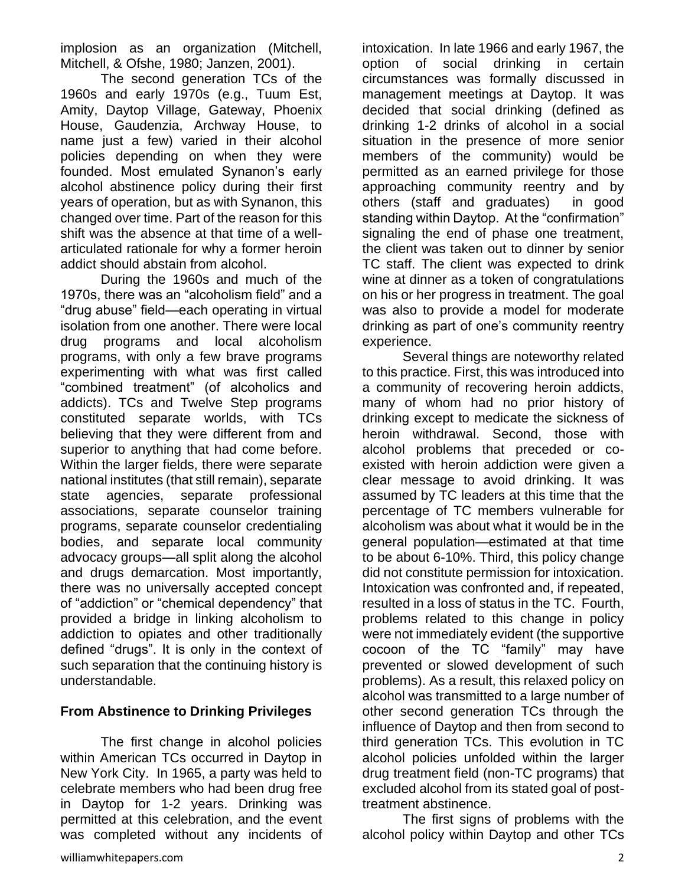implosion as an organization (Mitchell, Mitchell, & Ofshe, 1980; Janzen, 2001).

The second generation TCs of the 1960s and early 1970s (e.g., Tuum Est, Amity, Daytop Village, Gateway, Phoenix House, Gaudenzia, Archway House, to name just a few) varied in their alcohol policies depending on when they were founded. Most emulated Synanon's early alcohol abstinence policy during their first years of operation, but as with Synanon, this changed over time. Part of the reason for this shift was the absence at that time of a wellarticulated rationale for why a former heroin addict should abstain from alcohol.

During the 1960s and much of the 1970s, there was an "alcoholism field" and a "drug abuse" field—each operating in virtual isolation from one another. There were local drug programs and local alcoholism programs, with only a few brave programs experimenting with what was first called "combined treatment" (of alcoholics and addicts). TCs and Twelve Step programs constituted separate worlds, with TCs believing that they were different from and superior to anything that had come before. Within the larger fields, there were separate national institutes (that still remain), separate state agencies, separate professional associations, separate counselor training programs, separate counselor credentialing bodies, and separate local community advocacy groups—all split along the alcohol and drugs demarcation. Most importantly, there was no universally accepted concept of "addiction" or "chemical dependency" that provided a bridge in linking alcoholism to addiction to opiates and other traditionally defined "drugs". It is only in the context of such separation that the continuing history is understandable.

#### **From Abstinence to Drinking Privileges**

The first change in alcohol policies within American TCs occurred in Daytop in New York City. In 1965, a party was held to celebrate members who had been drug free in Daytop for 1-2 years. Drinking was permitted at this celebration, and the event was completed without any incidents of intoxication. In late 1966 and early 1967, the option of social drinking in certain circumstances was formally discussed in management meetings at Daytop. It was decided that social drinking (defined as drinking 1-2 drinks of alcohol in a social situation in the presence of more senior members of the community) would be permitted as an earned privilege for those approaching community reentry and by others (staff and graduates) in good standing within Daytop. At the "confirmation" signaling the end of phase one treatment, the client was taken out to dinner by senior TC staff. The client was expected to drink wine at dinner as a token of congratulations on his or her progress in treatment. The goal was also to provide a model for moderate drinking as part of one's community reentry experience.

Several things are noteworthy related to this practice. First, this was introduced into a community of recovering heroin addicts, many of whom had no prior history of drinking except to medicate the sickness of heroin withdrawal. Second, those with alcohol problems that preceded or coexisted with heroin addiction were given a clear message to avoid drinking. It was assumed by TC leaders at this time that the percentage of TC members vulnerable for alcoholism was about what it would be in the general population—estimated at that time to be about 6-10%. Third, this policy change did not constitute permission for intoxication. Intoxication was confronted and, if repeated, resulted in a loss of status in the TC. Fourth, problems related to this change in policy were not immediately evident (the supportive cocoon of the TC "family" may have prevented or slowed development of such problems). As a result, this relaxed policy on alcohol was transmitted to a large number of other second generation TCs through the influence of Daytop and then from second to third generation TCs. This evolution in TC alcohol policies unfolded within the larger drug treatment field (non-TC programs) that excluded alcohol from its stated goal of posttreatment abstinence.

 The first signs of problems with the alcohol policy within Daytop and other TCs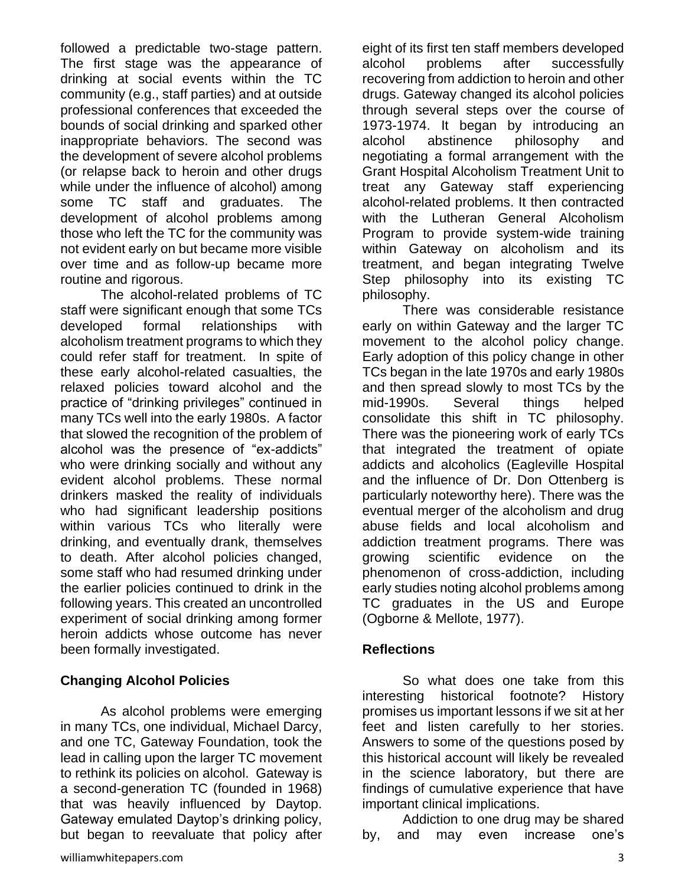followed a predictable two-stage pattern. The first stage was the appearance of drinking at social events within the TC community (e.g., staff parties) and at outside professional conferences that exceeded the bounds of social drinking and sparked other inappropriate behaviors. The second was the development of severe alcohol problems (or relapse back to heroin and other drugs while under the influence of alcohol) among some TC staff and graduates. The development of alcohol problems among those who left the TC for the community was not evident early on but became more visible over time and as follow-up became more routine and rigorous.

The alcohol-related problems of TC staff were significant enough that some TCs developed formal relationships with alcoholism treatment programs to which they could refer staff for treatment. In spite of these early alcohol-related casualties, the relaxed policies toward alcohol and the practice of "drinking privileges" continued in many TCs well into the early 1980s. A factor that slowed the recognition of the problem of alcohol was the presence of "ex-addicts" who were drinking socially and without any evident alcohol problems. These normal drinkers masked the reality of individuals who had significant leadership positions within various TCs who literally were drinking, and eventually drank, themselves to death. After alcohol policies changed, some staff who had resumed drinking under the earlier policies continued to drink in the following years. This created an uncontrolled experiment of social drinking among former heroin addicts whose outcome has never been formally investigated.

## **Changing Alcohol Policies**

As alcohol problems were emerging in many TCs, one individual, Michael Darcy, and one TC, Gateway Foundation, took the lead in calling upon the larger TC movement to rethink its policies on alcohol. Gateway is a second-generation TC (founded in 1968) that was heavily influenced by Daytop. Gateway emulated Daytop's drinking policy, but began to reevaluate that policy after

eight of its first ten staff members developed alcohol problems after successfully recovering from addiction to heroin and other drugs. Gateway changed its alcohol policies through several steps over the course of 1973-1974. It began by introducing an alcohol abstinence philosophy and negotiating a formal arrangement with the Grant Hospital Alcoholism Treatment Unit to treat any Gateway staff experiencing alcohol-related problems. It then contracted with the Lutheran General Alcoholism Program to provide system-wide training within Gateway on alcoholism and its treatment, and began integrating Twelve Step philosophy into its existing TC philosophy.

There was considerable resistance early on within Gateway and the larger TC movement to the alcohol policy change. Early adoption of this policy change in other TCs began in the late 1970s and early 1980s and then spread slowly to most TCs by the mid-1990s. Several things helped consolidate this shift in TC philosophy. There was the pioneering work of early TCs that integrated the treatment of opiate addicts and alcoholics (Eagleville Hospital and the influence of Dr. Don Ottenberg is particularly noteworthy here). There was the eventual merger of the alcoholism and drug abuse fields and local alcoholism and addiction treatment programs. There was growing scientific evidence on the phenomenon of cross-addiction, including early studies noting alcohol problems among TC graduates in the US and Europe (Ogborne & Mellote, 1977).

## **Reflections**

So what does one take from this interesting historical footnote? History promises us important lessons if we sit at her feet and listen carefully to her stories. Answers to some of the questions posed by this historical account will likely be revealed in the science laboratory, but there are findings of cumulative experience that have important clinical implications.

Addiction to one drug may be shared by, and may even increase one's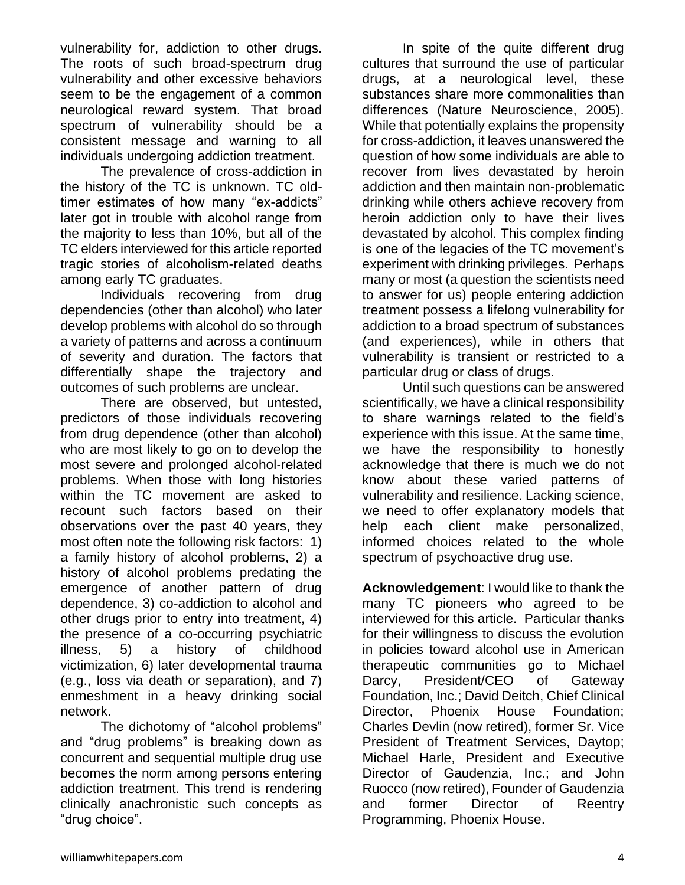vulnerability for, addiction to other drugs. The roots of such broad-spectrum drug vulnerability and other excessive behaviors seem to be the engagement of a common neurological reward system. That broad spectrum of vulnerability should be a consistent message and warning to all individuals undergoing addiction treatment.

The prevalence of cross-addiction in the history of the TC is unknown. TC oldtimer estimates of how many "ex-addicts" later got in trouble with alcohol range from the majority to less than 10%, but all of the TC elders interviewed for this article reported tragic stories of alcoholism-related deaths among early TC graduates.

Individuals recovering from drug dependencies (other than alcohol) who later develop problems with alcohol do so through a variety of patterns and across a continuum of severity and duration. The factors that differentially shape the trajectory and outcomes of such problems are unclear.

There are observed, but untested, predictors of those individuals recovering from drug dependence (other than alcohol) who are most likely to go on to develop the most severe and prolonged alcohol-related problems. When those with long histories within the TC movement are asked to recount such factors based on their observations over the past 40 years, they most often note the following risk factors: 1) a family history of alcohol problems, 2) a history of alcohol problems predating the emergence of another pattern of drug dependence, 3) co-addiction to alcohol and other drugs prior to entry into treatment, 4) the presence of a co-occurring psychiatric illness, 5) a history of childhood victimization, 6) later developmental trauma (e.g., loss via death or separation), and 7) enmeshment in a heavy drinking social network.

The dichotomy of "alcohol problems" and "drug problems" is breaking down as concurrent and sequential multiple drug use becomes the norm among persons entering addiction treatment. This trend is rendering clinically anachronistic such concepts as "drug choice".

In spite of the quite different drug cultures that surround the use of particular drugs, at a neurological level, these substances share more commonalities than differences (Nature Neuroscience, 2005). While that potentially explains the propensity for cross-addiction, it leaves unanswered the question of how some individuals are able to recover from lives devastated by heroin addiction and then maintain non-problematic drinking while others achieve recovery from heroin addiction only to have their lives devastated by alcohol. This complex finding is one of the legacies of the TC movement's experiment with drinking privileges. Perhaps many or most (a question the scientists need to answer for us) people entering addiction treatment possess a lifelong vulnerability for addiction to a broad spectrum of substances (and experiences), while in others that vulnerability is transient or restricted to a particular drug or class of drugs.

Until such questions can be answered scientifically, we have a clinical responsibility to share warnings related to the field's experience with this issue. At the same time, we have the responsibility to honestly acknowledge that there is much we do not know about these varied patterns of vulnerability and resilience. Lacking science, we need to offer explanatory models that help each client make personalized, informed choices related to the whole spectrum of psychoactive drug use.

**Acknowledgement**: I would like to thank the many TC pioneers who agreed to be interviewed for this article. Particular thanks for their willingness to discuss the evolution in policies toward alcohol use in American therapeutic communities go to Michael Darcy, President/CEO of Gateway Foundation, Inc.; David Deitch, Chief Clinical Director, Phoenix House Foundation; Charles Devlin (now retired), former Sr. Vice President of Treatment Services, Daytop; Michael Harle, President and Executive Director of Gaudenzia, Inc.; and John Ruocco (now retired), Founder of Gaudenzia and former Director of Reentry Programming, Phoenix House.